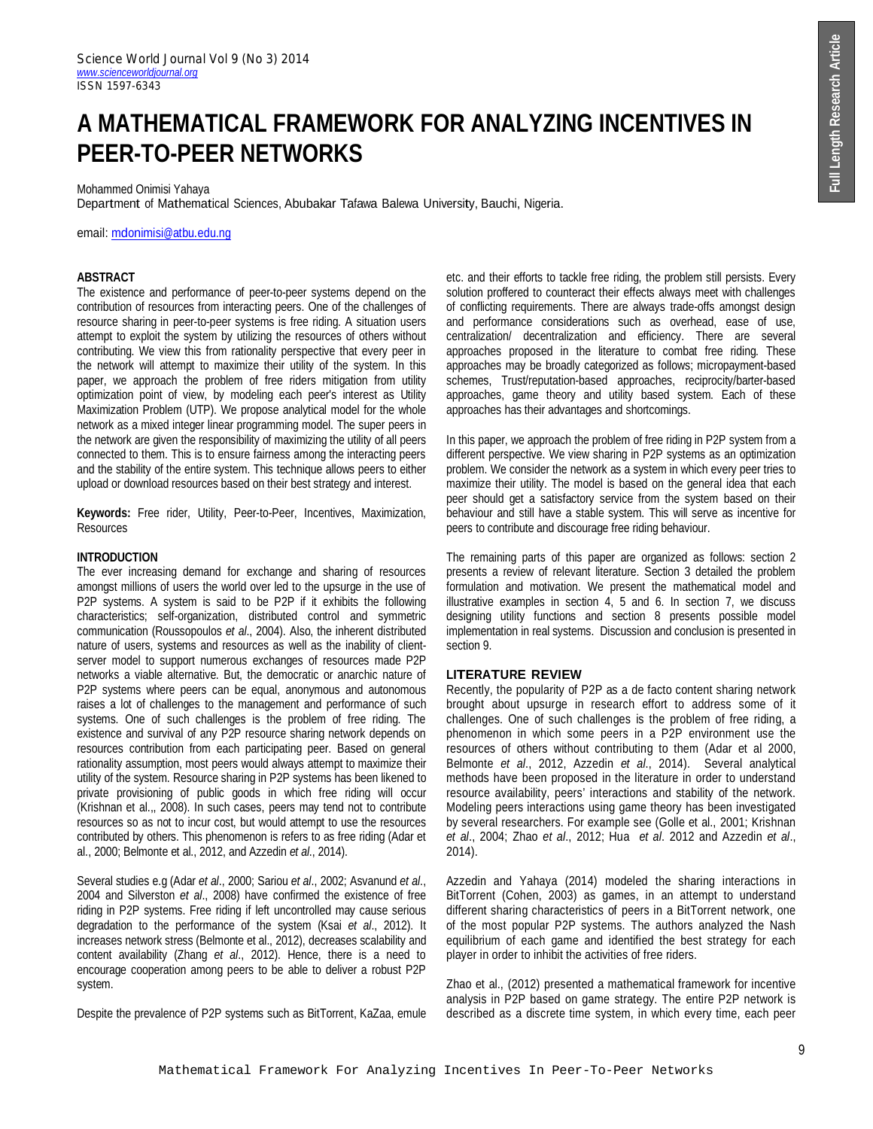# **A MATHEMATICAL FRAMEWORK FOR ANALYZING INCENTIVES IN PEER-TO-PEER NETWORKS**

Mohammed Onimisi Yahaya

Department of Mathematical Sciences, Abubakar Tafawa Balewa University, Bauchi, Nigeria.

email: mdonimisi@atbu.edu.ng

## **ABSTRACT**

The existence and performance of peer-to-peer systems depend on the contribution of resources from interacting peers. One of the challenges of resource sharing in peer-to-peer systems is free riding. A situation users attempt to exploit the system by utilizing the resources of others without contributing. We view this from rationality perspective that every peer in the network will attempt to maximize their utility of the system. In this paper, we approach the problem of free riders mitigation from utility optimization point of view, by modeling each peer's interest as Utility Maximization Problem (UTP). We propose analytical model for the whole network as a mixed integer linear programming model. The super peers in the network are given the responsibility of maximizing the utility of all peers connected to them. This is to ensure fairness among the interacting peers and the stability of the entire system. This technique allows peers to either upload or download resources based on their best strategy and interest.

**Keywords:** Free rider, Utility, Peer-to-Peer, Incentives, Maximization, **Resources** 

#### **INTRODUCTION**

The ever increasing demand for exchange and sharing of resources amongst millions of users the world over led to the upsurge in the use of P2P systems. A system is said to be P2P if it exhibits the following characteristics; self-organization, distributed control and symmetric communication (Roussopoulos *et al*., 2004). Also, the inherent distributed nature of users, systems and resources as well as the inability of clientserver model to support numerous exchanges of resources made P2P networks a viable alternative. But, the democratic or anarchic nature of P2P systems where peers can be equal, anonymous and autonomous raises a lot of challenges to the management and performance of such systems. One of such challenges is the problem of free riding. The existence and survival of any P2P resource sharing network depends on resources contribution from each participating peer. Based on general rationality assumption, most peers would always attempt to maximize their utility of the system. Resource sharing in P2P systems has been likened to private provisioning of public goods in which free riding will occur (Krishnan et al.,, 2008). In such cases, peers may tend not to contribute resources so as not to incur cost, but would attempt to use the resources contributed by others. This phenomenon is refers to as free riding (Adar et al., 2000; Belmonte et al., 2012, and Azzedin *et al*., 2014).

Several studies e.g (Adar *et al*., 2000; Sariou *et al*., 2002; Asvanund *et al*., 2004 and Silverston *et al*., 2008) have confirmed the existence of free riding in P2P systems. Free riding if left uncontrolled may cause serious degradation to the performance of the system (Ksai *et al*., 2012). It increases network stress (Belmonte et al., 2012), decreases scalability and content availability (Zhang *et al*., 2012). Hence, there is a need to encourage cooperation among peers to be able to deliver a robust P2P system.

Despite the prevalence of P2P systems such as BitTorrent, KaZaa, emule

etc. and their efforts to tackle free riding, the problem still persists. Every solution proffered to counteract their effects always meet with challenges of conflicting requirements. There are always trade-offs amongst design and performance considerations such as overhead, ease of use, centralization/ decentralization and efficiency. There are several approaches proposed in the literature to combat free riding. These approaches may be broadly categorized as follows; micropayment-based schemes, Trust/reputation-based approaches, reciprocity/barter-based approaches, game theory and utility based system. Each of these approaches has their advantages and shortcomings.

In this paper, we approach the problem of free riding in P2P system from a different perspective. We view sharing in P2P systems as an optimization problem. We consider the network as a system in which every peer tries to maximize their utility. The model is based on the general idea that each peer should get a satisfactory service from the system based on their behaviour and still have a stable system. This will serve as incentive for peers to contribute and discourage free riding behaviour.

The remaining parts of this paper are organized as follows: section 2 presents a review of relevant literature. Section 3 detailed the problem formulation and motivation. We present the mathematical model and illustrative examples in section 4, 5 and 6. In section 7, we discuss designing utility functions and section 8 presents possible model implementation in real systems. Discussion and conclusion is presented in section 9.

## **LITERATURE REVIEW**

Recently, the popularity of P2P as a de facto content sharing network brought about upsurge in research effort to address some of it challenges. One of such challenges is the problem of free riding, a phenomenon in which some peers in a P2P environment use the resources of others without contributing to them (Adar et al 2000, Belmonte *et al*., 2012, Azzedin *et al*., 2014). Several analytical methods have been proposed in the literature in order to understand resource availability, peers' interactions and stability of the network. Modeling peers interactions using game theory has been investigated by several researchers. For example see (Golle et al., 2001; Krishnan *et al*., 2004; Zhao *et al*., 2012; Hua *et al*. 2012 and Azzedin *et al*., 2014).

Azzedin and Yahaya (2014) modeled the sharing interactions in BitTorrent (Cohen, 2003) as games, in an attempt to understand different sharing characteristics of peers in a BitTorrent network, one of the most popular P2P systems. The authors analyzed the Nash equilibrium of each game and identified the best strategy for each player in order to inhibit the activities of free riders.

Zhao et al., (2012) presented a mathematical framework for incentive analysis in P2P based on game strategy. The entire P2P network is described as a discrete time system, in which every time, each peer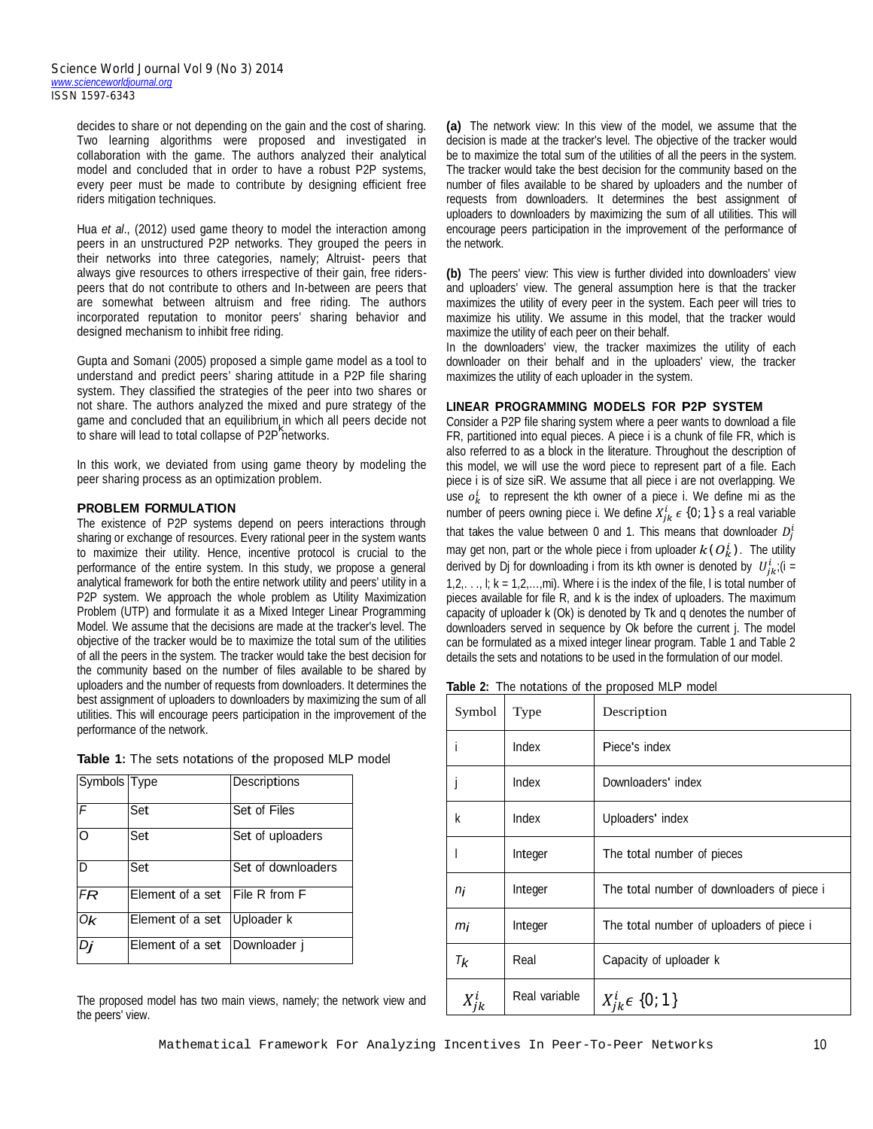decides to share or not depending on the gain and the cost of sharing. Two learning algorithms were proposed and investigated in collaboration with the game. The authors analyzed their analytical model and concluded that in order to have a robust P2P systems, every peer must be made to contribute by designing efficient free riders mitigation techniques.

Hua *et al*., (2012) used game theory to model the interaction among peers in an unstructured P2P networks. They grouped the peers in their networks into three categories, namely; Altruist- peers that always give resources to others irrespective of their gain, free riderspeers that do not contribute to others and In-between are peers that are somewhat between altruism and free riding. The authors incorporated reputation to monitor peers' sharing behavior and designed mechanism to inhibit free riding.

Gupta and Somani (2005) proposed a simple game model as a tool to understand and predict peers' sharing attitude in a P2P file sharing system. They classified the strategies of the peer into two shares or not share. The authors analyzed the mixed and pure strategy of the game and concluded that an equilibrium in which all peers decide not to share will lead to total collapse of P2P networks. *k*

In this work, we deviated from using game theory by modeling the peer sharing process as an optimization problem.

## **PROBLEM FORMULATION**

The existence of P2P systems depend on peers interactions through sharing or exchange of resources. Every rational peer in the system wants to maximize their utility. Hence, incentive protocol is crucial to the performance of the entire system. In this study, we propose a general analytical framework for both the entire network utility and peers' utility in a P2P system. We approach the whole problem as Utility Maximization Problem (UTP) and formulate it as a Mixed Integer Linear Programming Model. We assume that the decisions are made at the tracker's level. The objective of the tracker would be to maximize the total sum of the utilities of all the peers in the system. The tracker would take the best decision for the community based on the number of files available to be shared by uploaders and the number of requests from downloaders. It determines the best assignment of uploaders to downloaders by maximizing the sum of all utilities. This will encourage peers participation in the improvement of the performance of the network.

|  |  | Table 1: The sets notations of the proposed MLP model |  |  |  |
|--|--|-------------------------------------------------------|--|--|--|
|  |  |                                                       |  |  |  |

| Symbols Type |                  | Descriptions         |
|--------------|------------------|----------------------|
| F            | Set              | Set of Files         |
| $\Omega$     | Set              | Set of uploaders     |
| D            | Set              | Set of downloaders   |
| FR           | Element of a set | <b>File R from F</b> |
| 0k           | Element of a set | Uploader k           |
| Di           | Element of a set | Downloader i         |

The proposed model has two main views, namely; the network view and the peers' view.

**(a)** The network view: In this view of the model, we assume that the decision is made at the tracker's level. The objective of the tracker would be to maximize the total sum of the utilities of all the peers in the system. The tracker would take the best decision for the community based on the number of files available to be shared by uploaders and the number of requests from downloaders. It determines the best assignment of uploaders to downloaders by maximizing the sum of all utilities. This will encourage peers participation in the improvement of the performance of the network.

**(b)** The peers' view: This view is further divided into downloaders' view and uploaders' view. The general assumption here is that the tracker maximizes the utility of every peer in the system. Each peer will tries to maximize his utility. We assume in this model, that the tracker would maximize the utility of each peer on their behalf.

In the downloaders' view, the tracker maximizes the utility of each downloader on their behalf and in the uploaders' view, the tracker maximizes the utility of each uploader in the system.

## **LINEAR PROGRAMMING MODELS FOR P2P SYSTEM**

Consider a P2P file sharing system where a peer wants to download a file FR, partitioned into equal pieces. A piece i is a chunk of file FR, which is also referred to as a block in the literature. Throughout the description of this model, we will use the word piece to represent part of a file. Each piece i is of size siR. We assume that all piece i are not overlapping. We use  $o_k^i$  to represent the kth owner of a piece i. We define mi as the number of peers owning piece i. We define  $X_{jk}^i \epsilon$  {0; 1} s a real variable that takes the value between 0 and 1. This means that downloader  $D_j^i$ may get non, part or the whole piece i from uploader  $k(O_k^i)$ . The utility derived by Dj for downloading i from its kth owner is denoted by  $\;U^{i}_{jk}\;$  (i =  $1,2,\ldots$ ,  $k = 1,2,\ldots$ , mi). Where i is the index of the file, I is total number of pieces available for file R, and k is the index of uploaders. The maximum capacity of uploader k (Ok) is denoted by Tk and q denotes the number of downloaders served in sequence by Ok before the current j. The model can be formulated as a mixed integer linear program. Table 1 and Table 2 details the sets and notations to be used in the formulation of our model.

| <b>Table 2:</b> The notations of the proposed MLP model |
|---------------------------------------------------------|
|---------------------------------------------------------|

| Symbol  | Type                           | Description                                |  |
|---------|--------------------------------|--------------------------------------------|--|
| i       | Index                          | Piece's index                              |  |
|         | Index                          | Downloaders' index                         |  |
| k       | Index                          | Uploaders' index                           |  |
| I       | Integer                        | The total number of pieces                 |  |
| ni      | Integer                        | The total number of downloaders of piece i |  |
| mi      | Integer                        | The total number of uploaders of piece i   |  |
| $T_{k}$ | Real<br>Capacity of uploader k |                                            |  |
|         | Real variable                  | $X_{ik}^l \in \{0, 1\}$                    |  |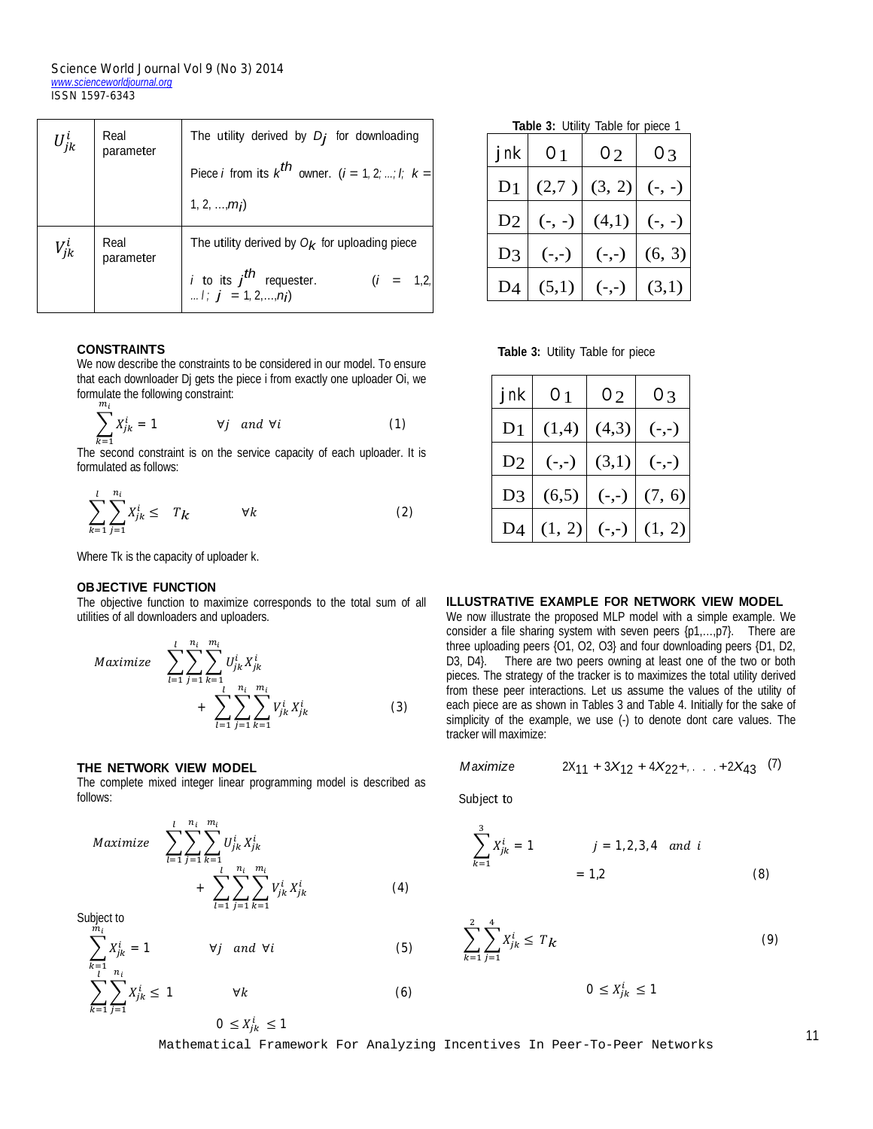#### *Science World Journal Vol 9 (No 3) 2014 www.scienceworldjournal.org ISSN 1597-6343*

| $U^i_{jk}$ | Real<br>parameter | The utility derived by $D_j$ for downloading                                      |
|------------|-------------------|-----------------------------------------------------------------------------------|
|            |                   | Piece <i>i</i> from its $k^{th}$ owner. $(i = 1, 2; ; i; k =$                     |
|            |                   | 1, 2, , m <sub>i</sub>                                                            |
| $V_{ik}^i$ | Real<br>parameter | The utility derived by $O_k$ for uploading piece                                  |
|            |                   | <i>i</i> to its $j^{th}$ requester.<br><i>i</i> ; $j = 1, 2, , nj$<br>$(i = 1,2)$ |

## **CONSTRAINTS**

We now describe the constraints to be considered in our model. To ensure that each downloader Dj gets the piece i from exactly one uploader Oi, we formulate the following constraint:  $m<sub>i</sub>$ 

$$
\sum_{k=1}^{n_i} X_{jk}^i = 1 \qquad \forall j \quad and \ \forall i \tag{1}
$$

 $k=1$ <br>The second constraint is on the service capacity of each uploader. It is formulated as follows:

$$
\sum_{k=1}^{l} \sum_{j=1}^{n_i} X_{jk}^i \leq T_k \qquad \forall k
$$
 (2)

Where Tk is the capacity of uploader k.

## **OBJECTIVE FUNCTION**

The objective function to maximize corresponds to the total sum of all utilities of all downloaders and uploaders.

$$
Maximize \quad \sum_{l=1}^{l} \sum_{j=1}^{n_i} \sum_{k=1}^{m_i} U_{jk}^i X_{jk}^i
$$

$$
+ \quad \sum_{l=1}^{l} \sum_{j=1}^{n_i} \sum_{k=1}^{m_i} V_{jk}^i X_{jk}^i \tag{3}
$$

## **THE NETWORK VIEW MODEL**

The complete mixed integer linear programming model is described as follows:

$$
Maximize \sum_{l=1}^{l} \sum_{j=1}^{n_i} \sum_{k=1}^{m_i} U_{jk}^i X_{jk}^i + \sum_{l=1}^{n_i} \sum_{j=1}^{m_i} \sum_{k=1}^{m_i} V_{jk}^i X_{jk}^i
$$
 (4)

Subject to  $\frac{m_i}{m_i}$ 

$$
\sum_{k=1} X_{jk}^{i} = 1 \qquad \forall j \quad and \ \forall i \tag{5}
$$

$$
\sum_{k=1}^{n_1} \sum_{j=1}^{n_i} X_{jk}^i \le 1 \qquad \forall k
$$
\n
$$
0 \le X_{jk}^i \le 1
$$
\n(6)

 **Table 3:** Utility Table for piece 1 *jnk <sup>O</sup>*1 *<sup>O</sup>*2 *<sup>O</sup>*3  $D_1 | (2,7) | (3, 2) | (-, -)$ 

 $D3$  (-,-) (-,-) (6, 3)

 $D4 | (5,1) | (-,-) | (3,1)$ 

 $D2 | (-, -) | (4,1)$ 

|  |  |  | Table 3: Utility Table for piece |  |
|--|--|--|----------------------------------|--|
|--|--|--|----------------------------------|--|

| jnk            | 01      | 02      | O3      |
|----------------|---------|---------|---------|
| D1             | (1,4)   | (4,3)   | $(-,-)$ |
| D <sub>2</sub> | $(-,-)$ | (3,1)   | $(-,-)$ |
| D3             | (6,5)   | $(-,-)$ | (7, 6)  |
|                | (1, 2)  | $(-,-)$ | (1, 2)  |

## **ILLUSTRATIVE EXAMPLE FOR NETWORK VIEW MODEL**

We now illustrate the proposed MLP model with a simple example. We consider a file sharing system with seven peers {p1,…,p7}. There are three uploading peers {O1, O2, O3} and four downloading peers {D1, D2, D3, D4}. There are two peers owning at least one of the two or both pieces. The strategy of the tracker is to maximizes the total utility derived from these peer interactions. Let us assume the values of the utility of each piece are as shown in Tables 3 and Table 4. Initially for the sake of simplicity of the example, we use (-) to denote dont care values. The tracker will maximize:

$$
Maximize \t 2X_{11} + 3X_{12} + 4X_{22} + \ldots + 2X_{43} \t (7)
$$

Subject to

 $\frac{2}{k}$ 

Ñ

$$
\sum_{k=1}^{3} X_{jk}^{i} = 1
$$
  $j = 1, 2, 3, 4$  and  $i$    
  $= 1, 2$  (8)

$$
\sum_{k=1}^{2} \sum_{j=1}^{4} X_{jk}^{i} \le T_{k}
$$
 (9)

$$
0 \le X_{jk}^i \le 1
$$

Mathematical Framework For Analyzing Incentives In Peer-To-Peer Networks

11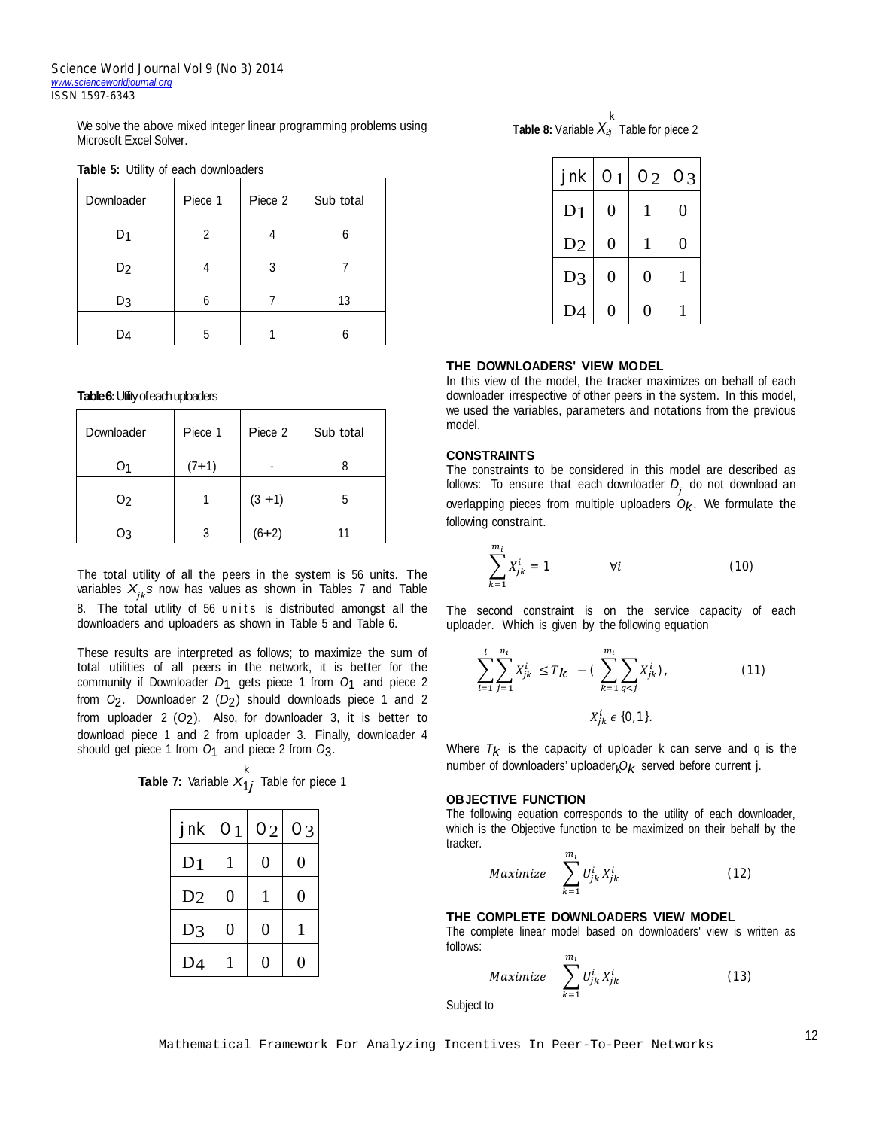We solve the above mixed integer linear programming problems using Microsoft Excel Solver.

| Downloader     | Piece 1 | Piece 2 | Sub total |
|----------------|---------|---------|-----------|
| D1             | 2       |         |           |
| D <sub>2</sub> |         | 3       |           |
| D3             |         |         | 13        |
| D4             | 5       |         |           |

**Table 5:** Utility of each downloaders

## **Table 6:** Utility of each uploaders

| Downloader | Piece 1 | Piece 2   | Sub total |
|------------|---------|-----------|-----------|
| O1         | $(7+1)$ |           |           |
| 02         |         | $(3 + 1)$ | 5         |
| OЗ         |         | $(6+2)$   |           |

The total utility of all the peers in the system is 56 units. The variables *Xjk s* now has values as shown in Tables 7 and Table 8. The total utility of 56 units is distributed amongst all the downloaders and uploaders as shown in Table 5 and Table 6.

These results are interpreted as follows; to maximize the sum of total utilities of all peers in the network, it is better for the community if Downloader *D*1 gets piece <sup>1</sup> from *<sup>O</sup>*1 and piece 2 from *O*2. Downloader 2 (*D*2) should downloads piece 1 and 2 from uploader  $2$  ( $O_2$ ). Also, for downloader  $3$ , it is better to download piece 1 and 2 from uploader 3. Finally, downloader 4 should get piece <sup>1</sup> from *<sup>O</sup>*1 and piece <sup>2</sup> from *<sup>O</sup>*3.

| jnk            | O <sub>1</sub> | 02 | 03 |
|----------------|----------------|----|----|
| D <sub>1</sub> |                | 0  | 0  |
| D2             | 0              | 1  | 0  |
| D <sub>3</sub> | 0              | 0  |    |
| D <sub>4</sub> |                | 0  |    |

 **Table 8:** Variable *X2j* Table for piece 2 *k*

| jnk            | 01 | O2 | 03 |
|----------------|----|----|----|
| D <sub>1</sub> | 0  |    | 0  |
| D <sub>2</sub> | 0  |    | 0  |
| D <sub>3</sub> | 0  | 0  |    |
| D <sub>4</sub> | 0  | 0  |    |

#### **THE DOWNLOADERS' VIEW MODEL**

In this view of the model, the tracker maximizes on behalf of each downloader irrespective of other peers in the system. In this model, we used the variables, parameters and notations from the previous model.

## **CONSTRAINTS**

The constraints to be considered in this model are described as follows: To ensure that each downloader *<sup>D</sup><sup>j</sup>* do not download an overlapping pieces from multiple uploaders  $\overline{O}_k$ . We formulate the following constraint.

$$
\sum_{k=1}^{m_i} X_{jk}^i = 1 \qquad \forall i \qquad (10)
$$

The second constraint is on the service capacity of each uploader. Which is given by the following equation

$$
\sum_{l=1}^{l} \sum_{j=1}^{n_i} X_{jk}^i \le T_k - (\sum_{k=1}^{m_i} \sum_{q < j} X_{jk}^i), \tag{11}
$$
\n
$$
X_{jk}^i \in \{0, 1\}.
$$

Where  $T_{\boldsymbol{k}}$  is the capacity of uploader k can serve and q is the number of downloaders' uploader *Ok* served before current j. *k k*

## **OBJECTIVE FUNCTION**

The following equation corresponds to the utility of each downloader, which is the Objective function to be maximized on their behalf by the tracker.

$$
Maximize \quad \sum_{k=1}^{m_i} U_{jk}^i X_{jk}^i \tag{12}
$$

## **THE COMPLETE DOWNLOADERS VIEW MODEL**

The complete linear model based on downloaders' view is written as follows:  $\boldsymbol{m}$ 

$$
Maximize \sum_{k=1}^{m_l} U_{jk}^i X_{jk}^i \tag{13}
$$

Subject to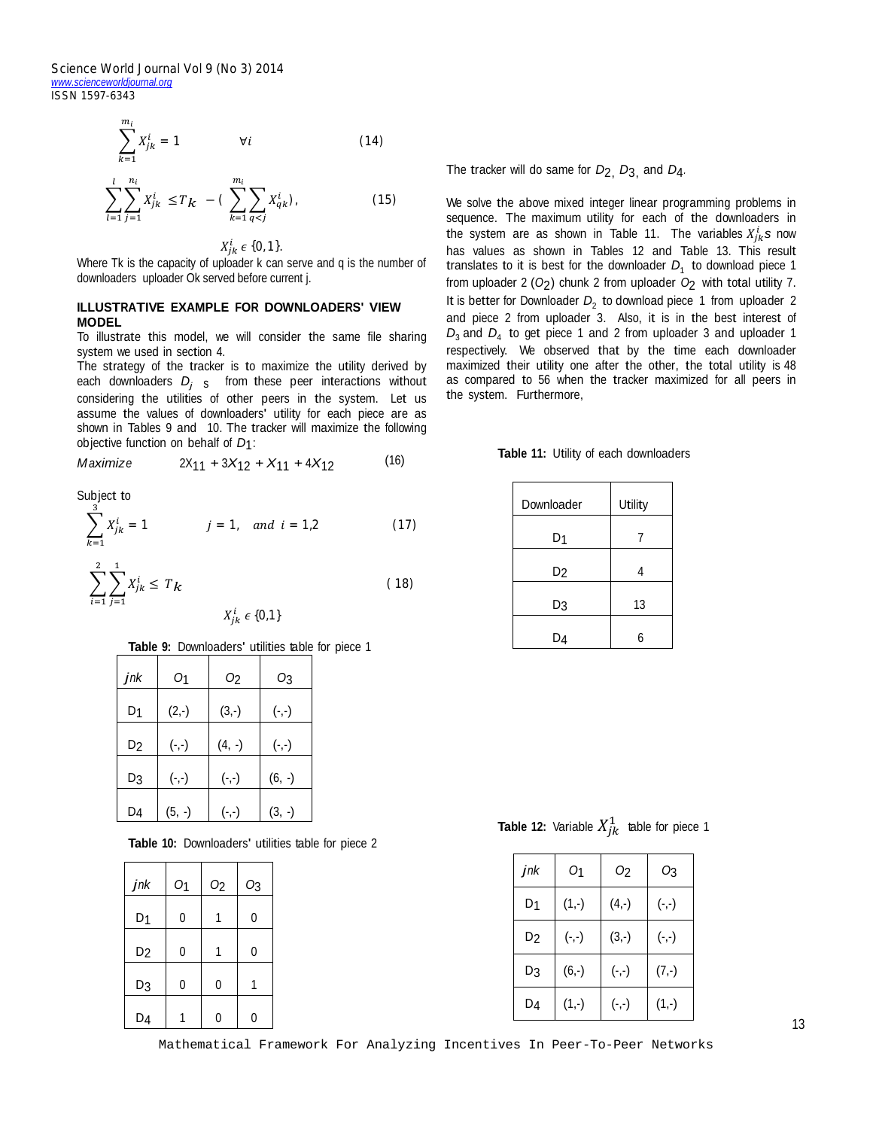*Science World Journal Vol 9 (No 3) 2014 www.scienceworldjournal.org ISSN 1597-6343*

$$
\sum_{k=1}^{m_i} X_{jk}^i = 1 \qquad \forall i \qquad (14)
$$

$$
\sum_{l=1}^{l} \sum_{j=1}^{n_i} X_{jk}^i \le T_k - (\sum_{k=1}^{m_i} \sum_{q < j} X_{qk}^i), \tag{15}
$$

## $X^i_{jk} \in \{0,1\}$ .

Where Tk is the capacity of uploader k can serve and q is the number of downloaders uploader Ok served before current j.

## **ILLUSTRATIVE EXAMPLE FOR DOWNLOADERS' VIEW MODEL**

To illustrate this model, we will consider the same file sharing system we used in section 4.

The strategy of the tracker is to maximize the utility derived by each downloaders  $D_j$  s from these peer interactions without considering the utilities of other peers in the system. Let us assume the values of downloaders' utility for each piece are as shown in Tables 9 and 10. The tracker will maximize the following objective function on behalf of *D*1:

$$
Maximize \t 2X_{11} + 3X_{12} + X_{11} + 4X_{12} \t (16)
$$

Subject to

$$
\sum_{k=1} X_{jk}^{i} = 1 \qquad j = 1, \quad and \quad i = 1, 2 \tag{17}
$$

$$
\sum_{i=1}^{2} \sum_{j=1}^{1} X_{jk}^{i} \le T_{k}
$$
 (18)

 $X^i_{jk} \in \{0,1\}$ 

**Table 9:** Downloaders' utilities table for piece 1

| jnk | 01       | O <sub>2</sub> | О3       |
|-----|----------|----------------|----------|
| D1  | $(2,-)$  | $(3,-)$        | $(-,-)$  |
| D2  | $(-,-)$  | $(4, -)$       | $(-,-)$  |
| D3  | $(-,-)$  | $(-, -)$       | $(6, -)$ |
| D4  | $(5, -)$ | $(-,-)$        | $(3, -)$ |

**Table 10:** Downloaders' utilities table for piece 2

| $j$ n $k$      | O <sub>1</sub> | O <sub>2</sub> | O <sub>3</sub> |
|----------------|----------------|----------------|----------------|
| D <sub>1</sub> | 0              | 1              | 0              |
| D <sub>2</sub> | 0              | 1              | $\overline{0}$ |
| D3             | 0              | 0              | 1              |
| D <sub>4</sub> |                | 0              | O              |

The tracker will do same for *D*2, *D*3, and *D*4*.*

We solve the above mixed integer linear programming problems in sequence. The maximum utility for each of the downloaders in the system are as shown in Table 11. The variables  $X_{jk}^i$ s now has values as shown in Tables 12 and Table 13. This result translates to it is best for the downloader  $D_1$  to download piece 1 from uploader 2 (*O*2) chunk <sup>2</sup> from uploader *<sup>O</sup>*2 with total utility 7. It is better for Downloader  $D_2$  to download piece 1 from uploader 2 and piece 2 from uploader 3. Also, it is in the best interest of  $D_3$  and  $D_4$  to get piece 1 and 2 from uploader 3 and uploader 1 respectively. We observed that by the time each downloader maximized their utility one after the other, the total utility is 48 as compared to 56 when the tracker maximized for all peers in the system. Furthermore,

**Table 11:** Utility of each downloaders

| Downloader     | Utility |
|----------------|---------|
| D <sub>1</sub> | 7       |
| D <sub>2</sub> | 4       |
| D <sub>3</sub> | 13      |
| D4             | 6       |
|                |         |

**Table 12:** Variable  $X_{jk}^1$  table for piece 1

| jnk            | 01       | Ο2       | Ο3       |
|----------------|----------|----------|----------|
| D1             | $(1,-)$  | $(4,-)$  | $(-, -)$ |
| D2             | $(-, -)$ | $(3,-)$  | $(-, -)$ |
| D3             | $(6,-)$  | $(-, -)$ | $(7,-)$  |
| D <sub>4</sub> | $(1,-)$  | $(-, -)$ | $(1,-)$  |

13

Mathematical Framework For Analyzing Incentives In Peer-To-Peer Networks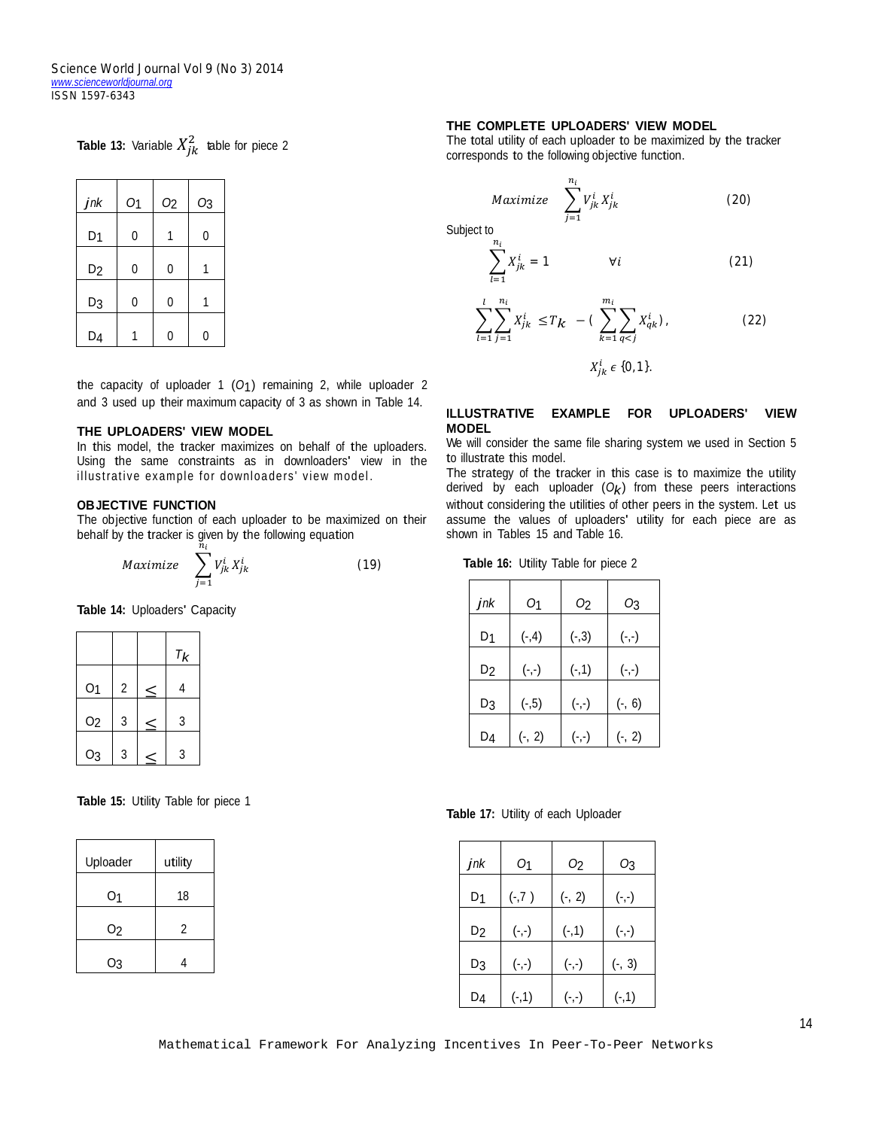*Science World Journal Vol 9 (No 3) 2014 www.scienceworldjournal.org ISSN 1597-6343*

**Table 13:** Variable  $X_{jk}^2$  table for piece 2

| jnk            | O <sub>1</sub> | O <sub>2</sub> | O <sub>3</sub> |
|----------------|----------------|----------------|----------------|
| D <sub>1</sub> | 0              |                | 0              |
| D <sub>2</sub> | 0              | 0              |                |
| D3             | 0              | 0              |                |
| D <sub>4</sub> |                | n              | በ              |

the capacity of uploader <sup>1</sup> (*O*1) remaining 2, while uploader <sup>2</sup> and 3 used up their maximum capacity of 3 as shown in Table 14.

## **THE UPLOADERS' VIEW MODEL**

In this model, the tracker maximizes on behalf of the uploaders. Using the same constraints as in downloaders' view in the illustrative example for downloaders' view model.

## **OBJECTIVE FUNCTION**

The objective function of each uploader to be maximized on their behalf by the tracker is given by the following equation

$$
Maximize \quad \sum_{j=1}^{n_i} V_{jk}^i X_{jk}^i \tag{19}
$$

**Table 14:** Uploaders' Capacity

|                |   | $\tau_{\boldsymbol{k}}$ |
|----------------|---|-------------------------|
| O <sub>1</sub> | 2 |                         |
| O <sub>2</sub> | 3 | 3                       |
| O <sub>3</sub> | 3 | 3                       |

**Table 15:** Utility Table for piece 1

| Uploader       | utility |
|----------------|---------|
| 01             | 18      |
| O <sub>2</sub> | 2       |
| O3             |         |

## **THE COMPLETE UPLOADERS' VIEW MODEL**

 $n_i$ 

 $j=1$ 

The total utility of each uploader to be maximized by the tracker corresponds to the following objective function.

 $X^i_{jk}$ 

(20)



$$
\sum_{l=1}^{n} X_{jk}^{i} = 1 \qquad \forall i \tag{21}
$$

$$
\sum_{l=1}^{n} \sum_{j=1}^{n} X_{jk}^{i} \le T_{k} - \left( \sum_{k=1}^{n} \sum_{q < j} X_{qk}^{i} \right), \tag{22}
$$

 $X_{jk}^{i} \in \{0,1\}$ .

#### **ILLUSTRATIVE EXAMPLE FOR UPLOADERS' VIEW MODEL**

We will consider the same file sharing system we used in Section 5 to illustrate this model.

The strategy of the tracker in this case is to maximize the utility derived by each uploader  $(O_k)$  from these peers interactions without considering the utilities of other peers in the system. Let us assume the values of uploaders' utility for each piece are as shown in Tables 15 and Table 16.

 **Table 16:** Utility Table for piece 2

| jnk | 01       | Ο2       | О3       |
|-----|----------|----------|----------|
| D1  | $(-, 4)$ | $(-,3)$  | $(-, -)$ |
| D2  | $(-,-)$  | $(-, 1)$ | $(-,-)$  |
| D3  | $(-, 5)$ | $(-,-)$  | $(-, 6)$ |
| D4  | $(-, 2)$ | $(-,-)$  | $(-, 2)$ |

**Table 17:** Utility of each Uploader

| jnk | 01       | Ο2       | Ο3       |
|-----|----------|----------|----------|
| D1  | $(-, 7)$ | $(-, 2)$ | $(-,-)$  |
| D2  | $(-, -)$ | $(-, 1)$ | $(-, -)$ |
| D3  | $(-,-)$  | $(-,-)$  | $(-, 3)$ |
| D4  | $(-, 1)$ | $(-,-)$  | $(-, 1)$ |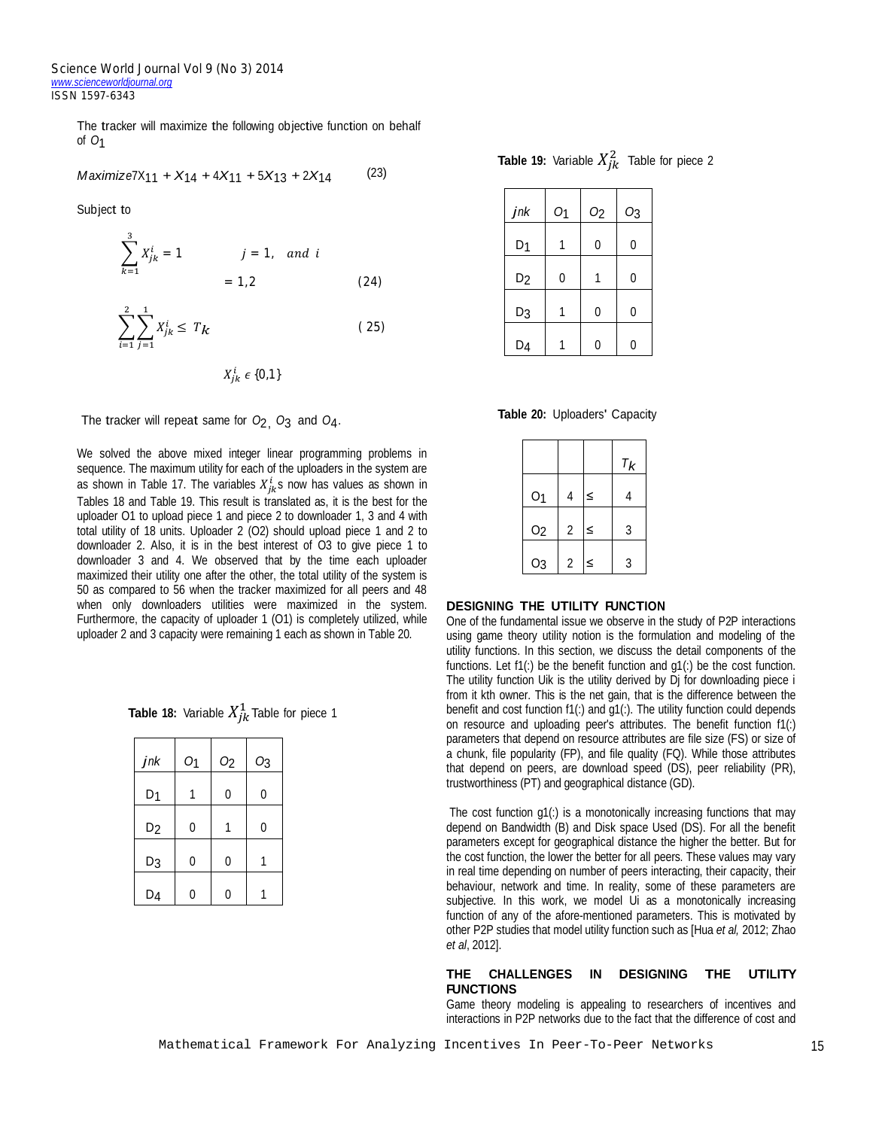The tracker will maximize the following objective function on behalf of *O*1

$$
Maximize 7X_{11} + X_{14} + 4X_{11} + 5X_{13} + 2X_{14}
$$
 (23)

Subject to

$$
\sum_{k=1}^{3} X_{jk}^{i} = 1 \t j = 1, and i
$$
  
= 1,2 \t(24)

$$
\sum_{i=1}^{2} \sum_{j=1}^{1} X_{jk}^{i} \le T_{k}
$$
 (25)

 $X_{jk}^i \in \{0,1\}$ 

The tracker will repeat same for *<sup>O</sup>*2, *O*3 and *<sup>O</sup>*4.

We solved the above mixed integer linear programming problems in sequence. The maximum utility for each of the uploaders in the system are as shown in Table 17. The variables  $X^{i}_{jk}$ s now has values as shown in Tables 18 and Table 19. This result is translated as, it is the best for the uploader O1 to upload piece 1 and piece 2 to downloader 1, 3 and 4 with total utility of 18 units. Uploader 2 (O2) should upload piece 1 and 2 to downloader 2. Also, it is in the best interest of O3 to give piece 1 to downloader 3 and 4. We observed that by the time each uploader maximized their utility one after the other, the total utility of the system is 50 as compared to 56 when the tracker maximized for all peers and 48 when only downloaders utilities were maximized in the system. Furthermore, the capacity of uploader 1 (O1) is completely utilized, while uploader 2 and 3 capacity were remaining 1 each as shown in Table 20.

| <b>Table 18:</b> Variable $X_{jk}^1$ Table for piece 1 |  |
|--------------------------------------------------------|--|
|--------------------------------------------------------|--|

| jnk            | O <sub>1</sub> | O <sub>2</sub> | O <sub>3</sub> |
|----------------|----------------|----------------|----------------|
| D <sub>1</sub> |                | 0              | 0              |
| D <sub>2</sub> | 0              |                | 0              |
| D <sub>3</sub> | 0              | 0              |                |
| D <sub>4</sub> | ŋ              | N              |                |

**Table 19:** Variable  $X_{jk}^2$  Table for piece 2

| jnk            | O <sub>1</sub> | O <sub>2</sub> | O <sub>3</sub> |
|----------------|----------------|----------------|----------------|
| D <sub>1</sub> | 1              | 0              | 0              |
| D <sub>2</sub> | 0              | 1              | 0              |
| D3             |                | 0              | 0              |
| D <sub>4</sub> |                | n              | N              |

**Table 20:** Uploaders' Capacity

|                |                |   | $T_{k}$ |
|----------------|----------------|---|---------|
| O <sub>1</sub> | 4              | ≤ |         |
| O <sub>2</sub> | $\overline{2}$ | ≤ | 3       |
| O <sub>3</sub> | 2              | < | 3       |

#### **DESIGNING THE UTILITY FUNCTION**

One of the fundamental issue we observe in the study of P2P interactions using game theory utility notion is the formulation and modeling of the utility functions. In this section, we discuss the detail components of the functions. Let  $f1(.)$  be the benefit function and  $g1(.)$  be the cost function. The utility function Uik is the utility derived by Dj for downloading piece i from it kth owner. This is the net gain, that is the difference between the benefit and cost function f1(:) and g1(:). The utility function could depends on resource and uploading peer's attributes. The benefit function f1(:) parameters that depend on resource attributes are file size (FS) or size of a chunk, file popularity (FP), and file quality (FQ). While those attributes that depend on peers, are download speed (DS), peer reliability (PR), trustworthiness (PT) and geographical distance (GD).

The cost function g1(:) is a monotonically increasing functions that may depend on Bandwidth (B) and Disk space Used (DS). For all the benefit parameters except for geographical distance the higher the better. But for the cost function, the lower the better for all peers. These values may vary in real time depending on number of peers interacting, their capacity, their behaviour, network and time. In reality, some of these parameters are subjective. In this work, we model Ui as a monotonically increasing function of any of the afore-mentioned parameters. This is motivated by other P2P studies that model utility function such as [Hua *et al,* 2012; Zhao *et al*, 2012].

#### **THE CHALLENGES IN DESIGNING THE UTILITY FUNCTIONS**

Game theory modeling is appealing to researchers of incentives and interactions in P2P networks due to the fact that the difference of cost and